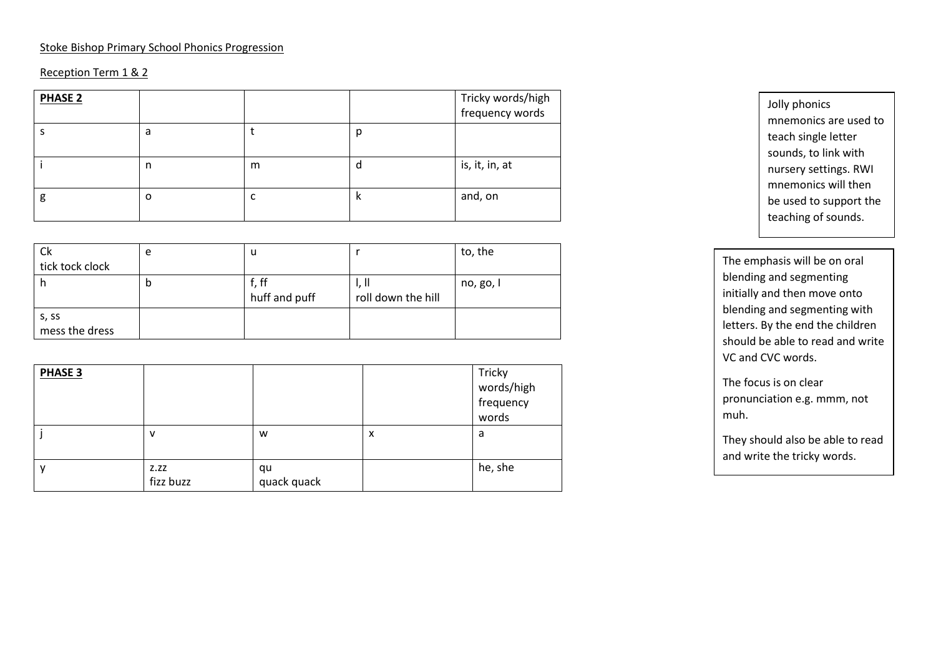#### Stoke Bishop Primary School Phonics Progression

### Reception Term 1 & 2

| <b>PHASE 2</b> |   |   |   | Tricky words/high<br>frequency words |
|----------------|---|---|---|--------------------------------------|
|                | a |   | р |                                      |
|                | n | m | a | is, it, in, at                       |
| g              | o | ╰ | N | and, on                              |

| Ck                      | e |                        |                             | to, the   |
|-------------------------|---|------------------------|-----------------------------|-----------|
| tick tock clock         |   |                        |                             |           |
| h                       | p | f, ff<br>huff and puff | 1, II<br>roll down the hill | no, go, I |
| s, ss<br>mess the dress |   |                        |                             |           |

| PHASE 3 |                   |                   |   | Tricky<br>words/high<br>frequency<br>words |
|---------|-------------------|-------------------|---|--------------------------------------------|
|         | ν                 | W                 | X | a                                          |
|         | Z.ZZ<br>fizz buzz | qu<br>quack quack |   | he, she                                    |

Jolly phonics mnemonics are used to teach single letter sounds, to link with nursery settings. RWI mnemonics will then be used to support the teaching of sounds.

The emphasis will be on oral blending and segmenting initially and then move onto blending and segmenting with letters. By the end the children should be able to read and write VC and CVC words.

The focus is on clear pronunciation e.g. mmm, not muh.

They should also be able to read and write the tricky words.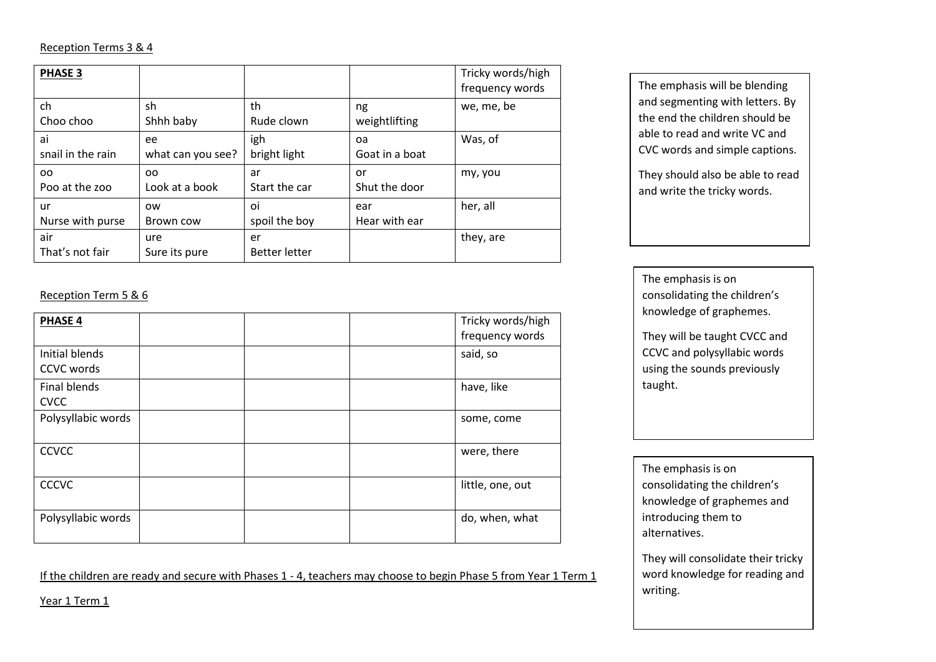#### Reception Terms 3 & 4

| <b>PHASE 3</b>         |                      |                            |                | Tricky words/high<br>frequency words |
|------------------------|----------------------|----------------------------|----------------|--------------------------------------|
| ch                     | sh                   | th                         | ng             | we, me, be                           |
| Choo choo              | Shhh baby            | Rude clown                 | weightlifting  |                                      |
| ai                     | ee                   | igh                        | oa             | Was, of                              |
| snail in the rain      | what can you see?    | bright light               | Goat in a boat |                                      |
| OO.                    | <sub>00</sub>        | ar                         | or             | my, you                              |
| Poo at the zoo         | Look at a book       | Start the car              | Shut the door  |                                      |
| ur                     | <b>OW</b>            | oi                         | ear            | her, all                             |
| Nurse with purse       | Brown cow            | spoil the boy              | Hear with ear  |                                      |
| air<br>That's not fair | ure<br>Sure its pure | er<br><b>Better letter</b> |                | they, are                            |

## Reception Term 5 & 6

| <b>PHASE 4</b>               |  | Tricky words/high<br>frequency words |
|------------------------------|--|--------------------------------------|
| Initial blends<br>CCVC words |  | said, so                             |
| Final blends<br><b>CVCC</b>  |  | have, like                           |
| Polysyllabic words           |  | some, come                           |
| <b>CCVCC</b>                 |  | were, there                          |
| <b>CCCVC</b>                 |  | little, one, out                     |
| Polysyllabic words           |  | do, when, what                       |

If the children are ready and secure with Phases 1 - 4, teachers may choose to begin Phase 5 from Year 1 Term 1

The emphasis will be blending and segmenting with letters. By the end the children should be able to read and write VC and CVC words and simple captions.

They should also be able to read and write the tricky words.

The emphasis is on consolidating the children's knowledge of graphemes.

They will be taught CVCC and CCVC and polysyllabic words using the sounds previously taught.

The emphasis is on consolidating the children's knowledge of graphemes and introducing them to alternatives.

They will consolidate their tricky word knowledge for reading and writing.

Year 1 Term 1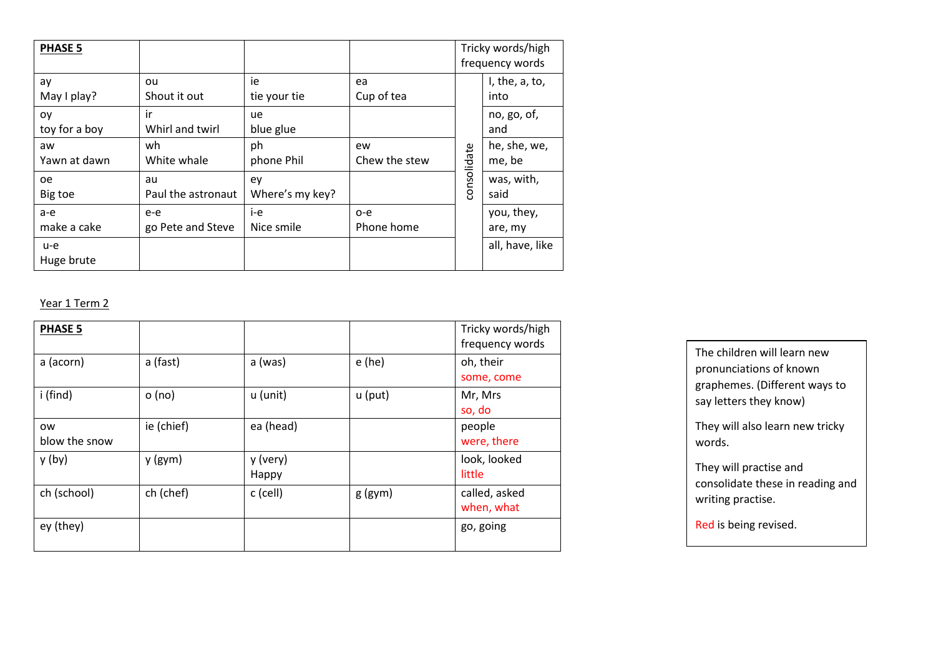| <b>PHASE 5</b>       |                            |                       |                     | Tricky words/high<br>frequency words |                        |
|----------------------|----------------------------|-----------------------|---------------------|--------------------------------------|------------------------|
| ay<br>May I play?    | ou<br>Shout it out         | ie<br>tie your tie    | ea<br>Cup of tea    |                                      | I, the, a, to,<br>into |
| oy<br>toy for a boy  | ir<br>Whirl and twirl      | ue<br>blue glue       |                     |                                      | no, go, of,<br>and     |
| aw<br>Yawn at dawn   | wh<br>White whale          | ph<br>phone Phil      | ew<br>Chew the stew |                                      | he, she, we,<br>me, be |
| <b>oe</b><br>Big toe | au<br>Paul the astronaut   | ey<br>Where's my key? |                     | consolidate                          | was, with,<br>said     |
| a-e<br>make a cake   | $e-e$<br>go Pete and Steve | i-e<br>Nice smile     | $o-e$<br>Phone home |                                      | you, they,<br>are, my  |
| u-e<br>Huge brute    |                            |                       |                     |                                      | all, have, like        |

## Year 1 Term 2

| <b>PHASE 5</b>             |            |                   |           | Tricky words/high<br>frequency words |
|----------------------------|------------|-------------------|-----------|--------------------------------------|
| a (acorn)                  | a (fast)   | a (was)           | $e$ (he)  | oh, their<br>some, come              |
| i (find)                   | o (no)     | u (unit)          | u (put)   | Mr, Mrs<br>so, do                    |
| <b>OW</b><br>blow the snow | ie (chief) | ea (head)         |           | people<br>were, there                |
| y (by)                     | $y$ (gym)  | y (very)<br>Happy |           | look, looked<br>little               |
| ch (school)                | ch (chef)  | c (cell)          | $g$ (gym) | called, asked<br>when, what          |
| ey (they)                  |            |                   |           | go, going                            |

| The children will learn new                             |
|---------------------------------------------------------|
| pronunciations of known                                 |
| graphemes. (Different ways to<br>say letters they know) |
| They will also learn new tricky<br>words.               |
| They will practise and                                  |
| consolidate these in reading and                        |
| writing practise.                                       |
| Red is being revised.                                   |
|                                                         |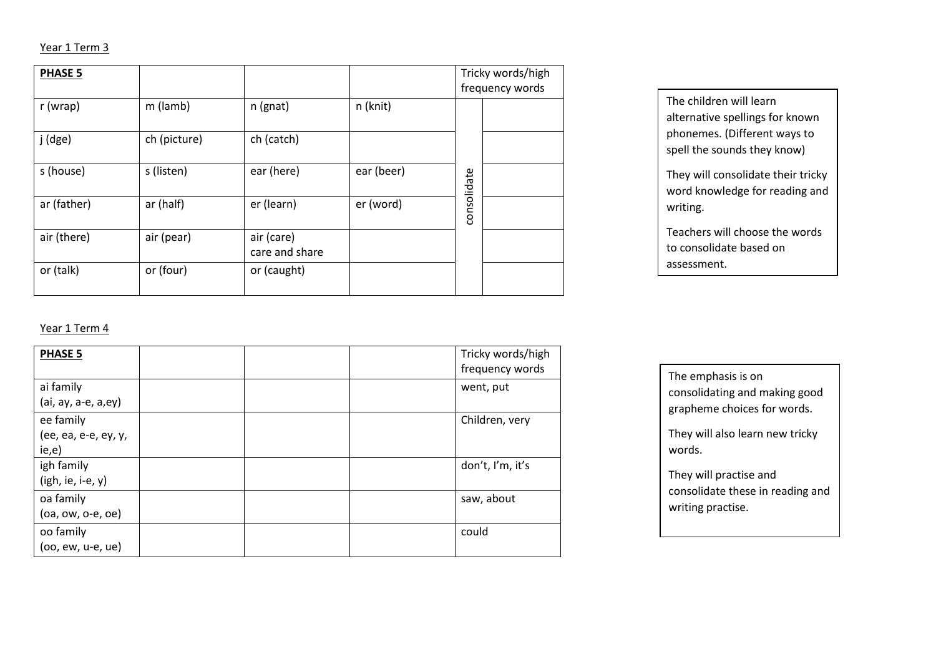### Year 1 Term 3

| <b>PHASE 5</b> |              |                              |            |             | Tricky words/high<br>frequency words |  |
|----------------|--------------|------------------------------|------------|-------------|--------------------------------------|--|
| r (wrap)       | m (lamb)     | n (gnat)                     | n (knit)   |             |                                      |  |
| j (dge)        | ch (picture) | ch (catch)                   |            |             |                                      |  |
| s (house)      | s (listen)   | ear (here)                   | ear (beer) |             |                                      |  |
| ar (father)    | ar (half)    | er (learn)                   | er (word)  | consolidate |                                      |  |
| air (there)    | air (pear)   | air (care)<br>care and share |            |             |                                      |  |
| or (talk)      | or (four)    | or (caught)                  |            |             |                                      |  |

The children will learn alternative spellings for known phonemes. (Different ways to spell the sounds they know)

They will consolidate their tricky word knowledge for reading and writing.

Teachers will choose the words to consolidate based on assessment.

### Year 1 Term 4

| <b>PHASE 5</b>                    |  | Tricky words/high<br>frequency words |
|-----------------------------------|--|--------------------------------------|
| ai family                         |  | went, put                            |
| (ai, ay, a-e, a,ey)<br>ee family  |  | Children, very                       |
| (ee, ea, e-e, ey, y,<br>ie,e)     |  |                                      |
| igh family<br>$(igh, ie, i-e, y)$ |  | don't, I'm, it's                     |
| oa family<br>$(oa, ow, o-e, oe)$  |  | saw, about                           |
| oo family<br>$(oo, ew, u-e, ue)$  |  | could                                |

The emphasis is on consolidating and making good grapheme choices for words.

They will also learn new tricky words.

They will practise and consolidate these in reading and writing practise.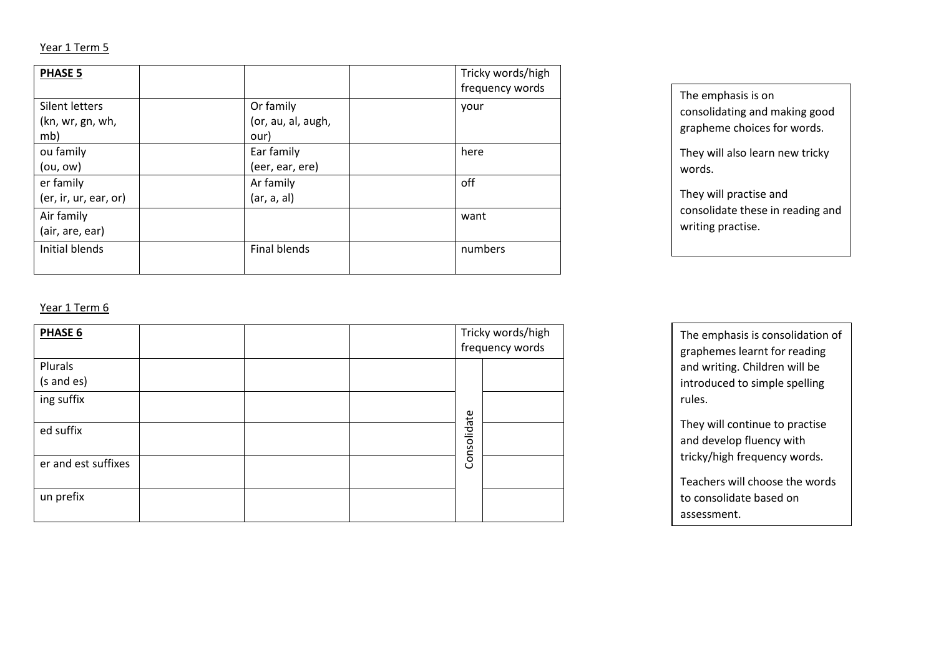#### Year 1 Term 5

| <b>PHASE 5</b>        |                     | Tricky words/high<br>frequency words |
|-----------------------|---------------------|--------------------------------------|
| Silent letters        | Or family           | your                                 |
| (kn, wr, gn, wh,      | (or, au, al, augh,  |                                      |
| mb)                   | our)                |                                      |
| ou family             | Ear family          | here                                 |
| (ou, ow)              | (eer, ear, ere)     |                                      |
| er family             | Ar family           | off                                  |
| (er, ir, ur, ear, or) | (ar, a, al)         |                                      |
| Air family            |                     | want                                 |
| (air, are, ear)       |                     |                                      |
| Initial blends        | <b>Final blends</b> | numbers                              |
|                       |                     |                                      |

The emphasis is on consolidating and making good grapheme choices for words.

They will also learn new tricky words.

They will practise and consolidate these in reading and writing practise.

### Year 1 Term 6

| PHASE 6               |  | Tricky words/high<br>frequency words |  |
|-----------------------|--|--------------------------------------|--|
| Plurals<br>(s and es) |  |                                      |  |
| ing suffix            |  |                                      |  |
| ed suffix             |  | Consolidate                          |  |
| er and est suffixes   |  |                                      |  |
| un prefix             |  |                                      |  |

The emphasis is consolidation of graphemes learnt for reading and writing. Children will be introduced to simple spelling rules.

They will continue to practise and develop fluency with tricky/high frequency words.

Teachers will choose the words to consolidate based on assessment.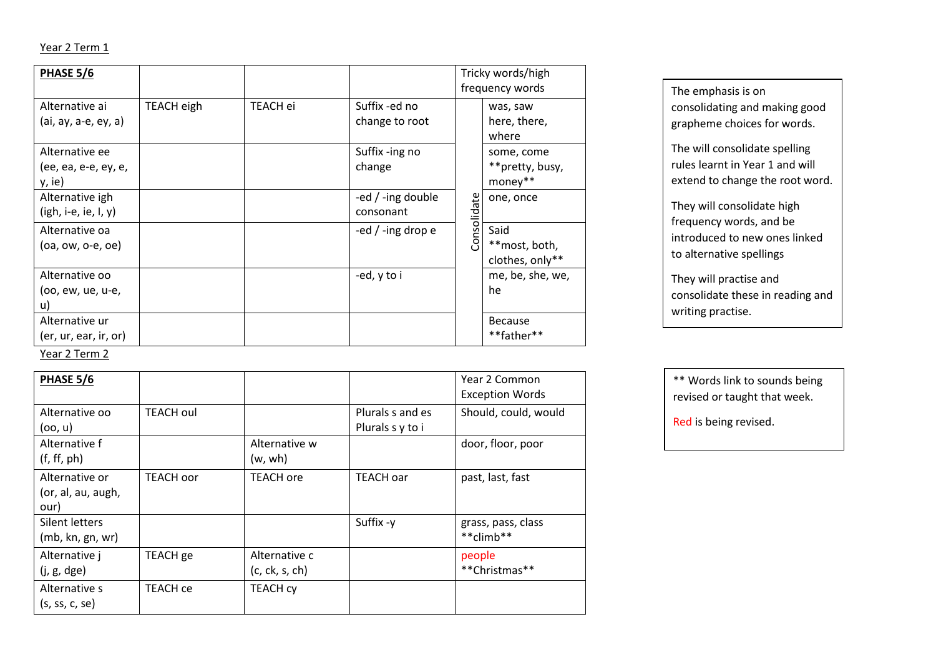## Year 2 Term 1

| PHASE 5/6                                        |            |          |                                  |             | Tricky words/high<br>frequency words     |
|--------------------------------------------------|------------|----------|----------------------------------|-------------|------------------------------------------|
| Alternative ai<br>(ai, ay, a-e, ey, a)           | TEACH eigh | TEACH ei | Suffix -ed no<br>change to root  |             | was, saw<br>here, there,<br>where        |
| Alternative ee<br>(ee, ea, e-e, ey, e,<br>y, ie) |            |          | Suffix -ing no<br>change         |             | some, come<br>**pretty, busy,<br>money** |
| Alternative igh<br>$(igh, i-e, ie, I, y)$        |            |          | -ed $/$ -ing double<br>consonant | Consolidate | one, once                                |
| Alternative oa<br>$(oa, ow, o-e, oe)$            |            |          | -ed $/$ -ing drop e              |             | Said<br>**most, both,<br>clothes, only** |
| Alternative oo<br>(oo, ew, ue, u-e,<br>u)        |            |          | -ed, y to i                      |             | me, be, she, we,<br>he                   |
| Alternative ur<br>(er, ur, ear, ir, or)          |            |          |                                  |             | <b>Because</b><br>**father**             |

The emphasis is on consolidating and making good grapheme choices for words.

The will consolidate spelling rules learnt in Year 1 and will extend to change the root word.

They will consolidate high frequency words, and be introduced to new ones linked to alternative spellings

They will practise and consolidate these in reading and writing practise.

Year 2 Term 2

| PHASE 5/6          |                  |                  |                  | Year 2 Common          |
|--------------------|------------------|------------------|------------------|------------------------|
|                    |                  |                  |                  | <b>Exception Words</b> |
| Alternative oo     | <b>TEACH oul</b> |                  | Plurals s and es | Should, could, would   |
| (oo, u)            |                  |                  | Plurals s y to i |                        |
| Alternative f      |                  | Alternative w    |                  | door, floor, poor      |
| (f, ff, ph)        |                  | (w, wh)          |                  |                        |
| Alternative or     | <b>TEACH oor</b> | <b>TEACH</b> ore | <b>TEACH oar</b> | past, last, fast       |
| (or, al, au, augh, |                  |                  |                  |                        |
| our)               |                  |                  |                  |                        |
| Silent letters     |                  |                  | Suffix -y        | grass, pass, class     |
| (mb, kn, gn, wr)   |                  |                  |                  | **climb**              |
| Alternative j      | TEACH ge         | Alternative c    |                  | people                 |
| (j, g, dge)        |                  | (c, ck, s, ch)   |                  | **Christmas**          |
| Alternative s      | TEACH ce         | <b>TEACH CY</b>  |                  |                        |
| (s, ss, c, se)     |                  |                  |                  |                        |

\*\* Words link to sounds being revised or taught that week.

Red is being revised.